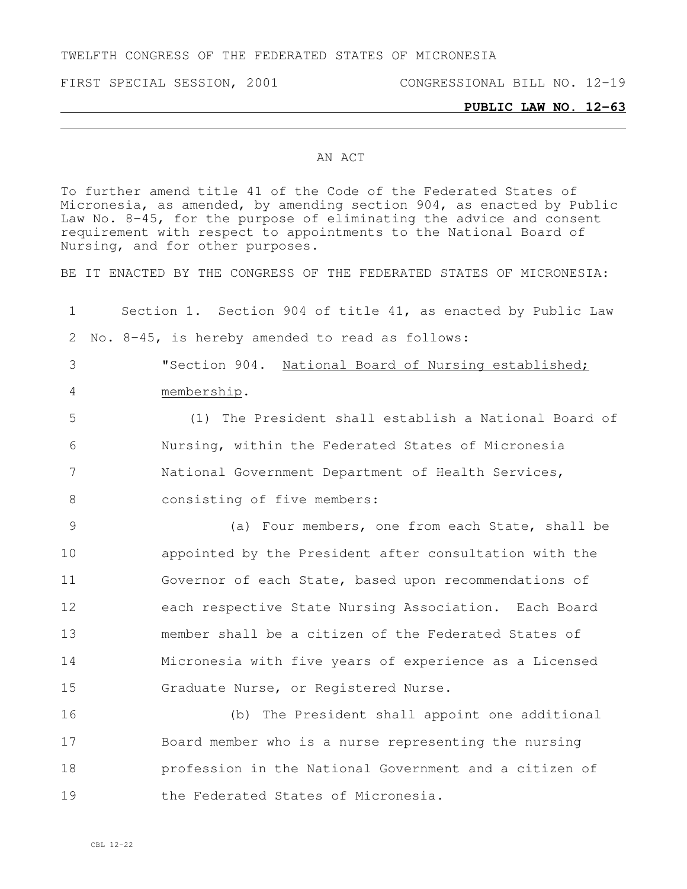TWELFTH CONGRESS OF THE FEDERATED STATES OF MICRONESIA

FIRST SPECIAL SESSION, 2001 CONGRESSIONAL BILL NO. 12-19

## **PUBLIC LAW NO. 12-63**

## AN ACT

To further amend title 41 of the Code of the Federated States of Micronesia, as amended, by amending section 904, as enacted by Public Law No. 8-45, for the purpose of eliminating the advice and consent requirement with respect to appointments to the National Board of Nursing, and for other purposes.

BE IT ENACTED BY THE CONGRESS OF THE FEDERATED STATES OF MICRONESIA:

 Section 1. Section 904 of title 41, as enacted by Public Law No. 8-45, is hereby amended to read as follows: "Section 904. National Board of Nursing established; membership. (1) The President shall establish a National Board of Nursing, within the Federated States of Micronesia National Government Department of Health Services, 8 consisting of five members: (a) Four members, one from each State, shall be appointed by the President after consultation with the Governor of each State, based upon recommendations of each respective State Nursing Association. Each Board member shall be a citizen of the Federated States of Micronesia with five years of experience as a Licensed Graduate Nurse, or Registered Nurse. (b) The President shall appoint one additional Board member who is a nurse representing the nursing profession in the National Government and a citizen of 19 the Federated States of Micronesia.